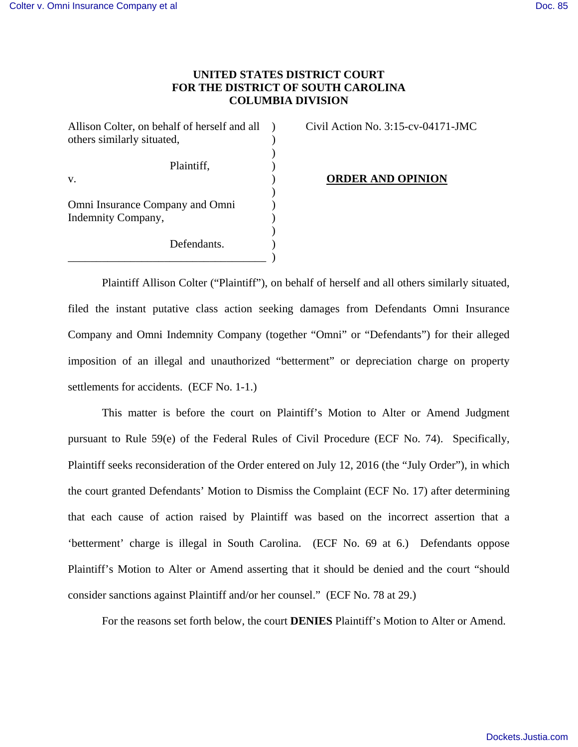## **UNITED STATES DISTRICT COURT FOR THE DISTRICT OF SOUTH CAROLINA COLUMBIA DIVISION**

Allison Colter, on behalf of herself and all ) Civil Action No. 3:15-cv-04171-JMC others similarly situated,  $($ ) Plaintiff,  $\qquad \qquad$ ) v. ) **ORDER AND OPINION**  $)$ Omni Insurance Company and Omni ) Indemnity Company, ) ) Defendants. \_\_\_\_\_\_\_\_\_\_\_\_\_\_\_\_\_\_\_\_\_\_\_\_\_\_\_\_\_\_\_\_\_\_\_ )

Plaintiff Allison Colter ("Plaintiff"), on behalf of herself and all others similarly situated, filed the instant putative class action seeking damages from Defendants Omni Insurance Company and Omni Indemnity Company (together "Omni" or "Defendants") for their alleged imposition of an illegal and unauthorized "betterment" or depreciation charge on property settlements for accidents. (ECF No. 1-1.)

This matter is before the court on Plaintiff's Motion to Alter or Amend Judgment pursuant to Rule 59(e) of the Federal Rules of Civil Procedure (ECF No. 74). Specifically, Plaintiff seeks reconsideration of the Order entered on July 12, 2016 (the "July Order"), in which the court granted Defendants' Motion to Dismiss the Complaint (ECF No. 17) after determining that each cause of action raised by Plaintiff was based on the incorrect assertion that a 'betterment' charge is illegal in South Carolina. (ECF No. 69 at 6.) Defendants oppose Plaintiff's Motion to Alter or Amend asserting that it should be denied and the court "should consider sanctions against Plaintiff and/or her counsel." (ECF No. 78 at 29.)

For the reasons set forth below, the court **DENIES** Plaintiff's Motion to Alter or Amend.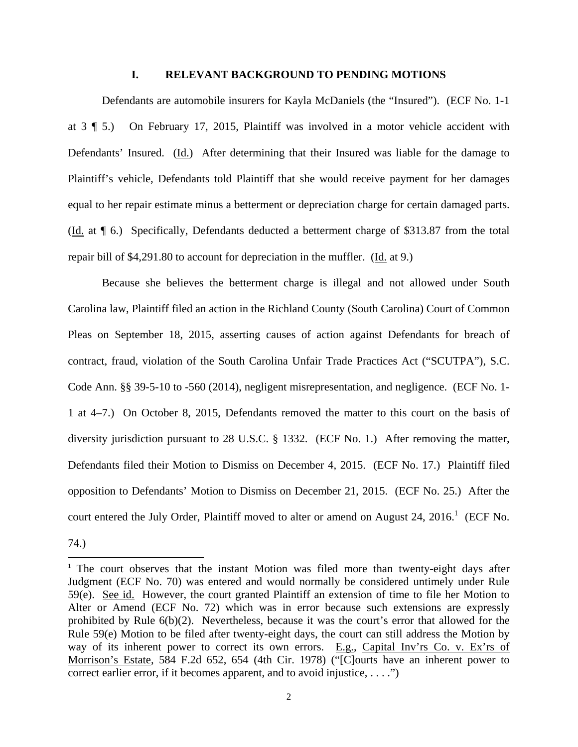## **I. RELEVANT BACKGROUND TO PENDING MOTIONS**

Defendants are automobile insurers for Kayla McDaniels (the "Insured"). (ECF No. 1-1 at 3 ¶ 5.) On February 17, 2015, Plaintiff was involved in a motor vehicle accident with Defendants' Insured. (Id.) After determining that their Insured was liable for the damage to Plaintiff's vehicle, Defendants told Plaintiff that she would receive payment for her damages equal to her repair estimate minus a betterment or depreciation charge for certain damaged parts. (Id. at ¶ 6.) Specifically, Defendants deducted a betterment charge of \$313.87 from the total repair bill of \$4,291.80 to account for depreciation in the muffler. (Id. at 9.)

Because she believes the betterment charge is illegal and not allowed under South Carolina law, Plaintiff filed an action in the Richland County (South Carolina) Court of Common Pleas on September 18, 2015, asserting causes of action against Defendants for breach of contract, fraud, violation of the South Carolina Unfair Trade Practices Act ("SCUTPA"), S.C. Code Ann. §§ 39-5-10 to -560 (2014), negligent misrepresentation, and negligence. (ECF No. 1- 1 at 4–7.) On October 8, 2015, Defendants removed the matter to this court on the basis of diversity jurisdiction pursuant to 28 U.S.C. § 1332. (ECF No. 1.) After removing the matter, Defendants filed their Motion to Dismiss on December 4, 2015. (ECF No. 17.) Plaintiff filed opposition to Defendants' Motion to Dismiss on December 21, 2015. (ECF No. 25.) After the court entered the July Order, Plaintiff moved to alter or amend on August 24, 2016.<sup>1</sup> (ECF No.

74.)

-

<sup>&</sup>lt;sup>1</sup> The court observes that the instant Motion was filed more than twenty-eight days after Judgment (ECF No. 70) was entered and would normally be considered untimely under Rule 59(e). See id. However, the court granted Plaintiff an extension of time to file her Motion to Alter or Amend (ECF No. 72) which was in error because such extensions are expressly prohibited by Rule 6(b)(2). Nevertheless, because it was the court's error that allowed for the Rule 59(e) Motion to be filed after twenty-eight days, the court can still address the Motion by way of its inherent power to correct its own errors. E.g., Capital Inv'rs Co. v. Ex'rs of Morrison's Estate, 584 F.2d 652, 654 (4th Cir. 1978) ("[C]ourts have an inherent power to correct earlier error, if it becomes apparent, and to avoid injustice, . . . .")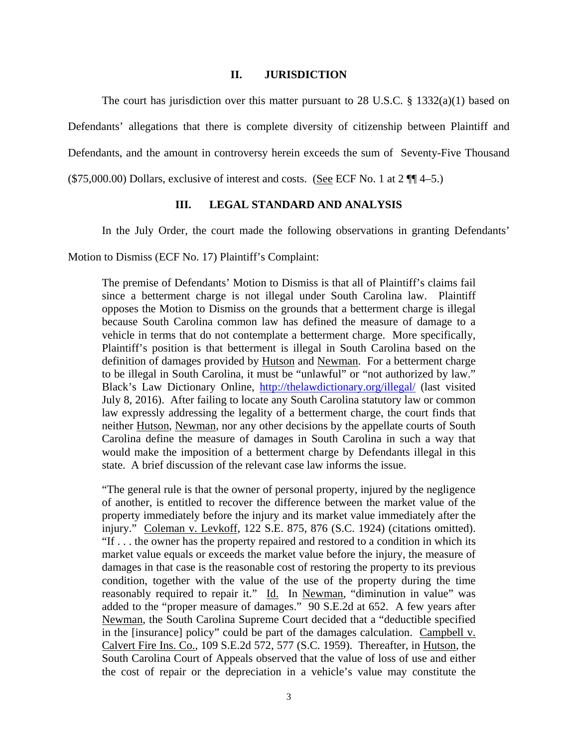### **II. JURISDICTION**

The court has jurisdiction over this matter pursuant to 28 U.S.C. § 1332(a)(1) based on Defendants' allegations that there is complete diversity of citizenship between Plaintiff and Defendants, and the amount in controversy herein exceeds the sum of Seventy-Five Thousand  $(\$75,000.00)$  Dollars, exclusive of interest and costs. (See ECF No. 1 at  $2 \frac{1}{14}$  4–5.)

## **III. LEGAL STANDARD AND ANALYSIS**

In the July Order, the court made the following observations in granting Defendants'

Motion to Dismiss (ECF No. 17) Plaintiff's Complaint:

The premise of Defendants' Motion to Dismiss is that all of Plaintiff's claims fail since a betterment charge is not illegal under South Carolina law. Plaintiff opposes the Motion to Dismiss on the grounds that a betterment charge is illegal because South Carolina common law has defined the measure of damage to a vehicle in terms that do not contemplate a betterment charge. More specifically, Plaintiff's position is that betterment is illegal in South Carolina based on the definition of damages provided by Hutson and Newman. For a betterment charge to be illegal in South Carolina, it must be "unlawful" or "not authorized by law." Black's Law Dictionary Online, http://thelawdictionary.org/illegal/ (last visited July 8, 2016). After failing to locate any South Carolina statutory law or common law expressly addressing the legality of a betterment charge, the court finds that neither Hutson, Newman, nor any other decisions by the appellate courts of South Carolina define the measure of damages in South Carolina in such a way that would make the imposition of a betterment charge by Defendants illegal in this state. A brief discussion of the relevant case law informs the issue.

"The general rule is that the owner of personal property, injured by the negligence of another, is entitled to recover the difference between the market value of the property immediately before the injury and its market value immediately after the injury." Coleman v. Levkoff, 122 S.E. 875, 876 (S.C. 1924) (citations omitted). "If . . . the owner has the property repaired and restored to a condition in which its market value equals or exceeds the market value before the injury, the measure of damages in that case is the reasonable cost of restoring the property to its previous condition, together with the value of the use of the property during the time reasonably required to repair it." Id. In Newman, "diminution in value" was added to the "proper measure of damages." 90 S.E.2d at 652. A few years after Newman, the South Carolina Supreme Court decided that a "deductible specified in the [insurance] policy" could be part of the damages calculation. Campbell v. Calvert Fire Ins. Co., 109 S.E.2d 572, 577 (S.C. 1959). Thereafter, in Hutson, the South Carolina Court of Appeals observed that the value of loss of use and either the cost of repair or the depreciation in a vehicle's value may constitute the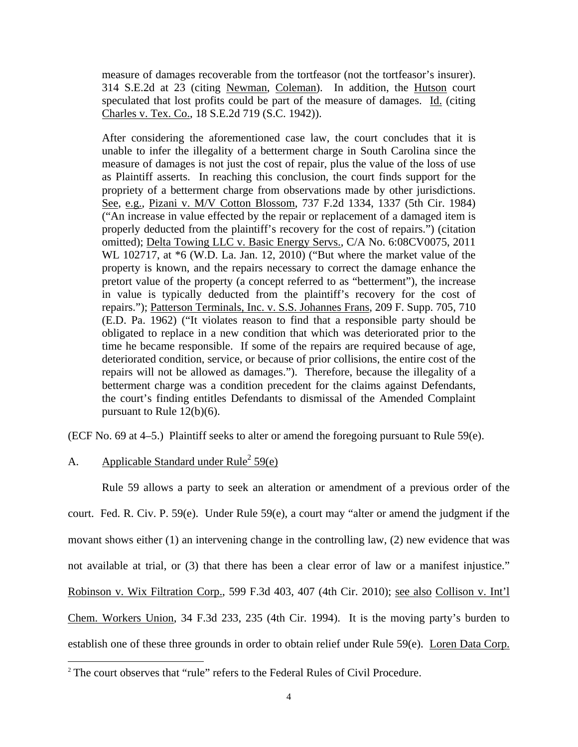measure of damages recoverable from the tortfeasor (not the tortfeasor's insurer). 314 S.E.2d at 23 (citing Newman, Coleman). In addition, the Hutson court speculated that lost profits could be part of the measure of damages. Id. (citing Charles v. Tex. Co., 18 S.E.2d 719 (S.C. 1942)).

After considering the aforementioned case law, the court concludes that it is unable to infer the illegality of a betterment charge in South Carolina since the measure of damages is not just the cost of repair, plus the value of the loss of use as Plaintiff asserts. In reaching this conclusion, the court finds support for the propriety of a betterment charge from observations made by other jurisdictions. See, e.g., Pizani v. M/V Cotton Blossom, 737 F.2d 1334, 1337 (5th Cir. 1984) ("An increase in value effected by the repair or replacement of a damaged item is properly deducted from the plaintiff's recovery for the cost of repairs.") (citation omitted); Delta Towing LLC v. Basic Energy Servs., C/A No. 6:08CV0075, 2011 WL 102717, at \*6 (W.D. La. Jan. 12, 2010) ("But where the market value of the property is known, and the repairs necessary to correct the damage enhance the pretort value of the property (a concept referred to as "betterment"), the increase in value is typically deducted from the plaintiff's recovery for the cost of repairs."); Patterson Terminals, Inc. v. S.S. Johannes Frans, 209 F. Supp. 705, 710 (E.D. Pa. 1962) ("It violates reason to find that a responsible party should be obligated to replace in a new condition that which was deteriorated prior to the time he became responsible. If some of the repairs are required because of age, deteriorated condition, service, or because of prior collisions, the entire cost of the repairs will not be allowed as damages."). Therefore, because the illegality of a betterment charge was a condition precedent for the claims against Defendants, the court's finding entitles Defendants to dismissal of the Amended Complaint pursuant to Rule 12(b)(6).

(ECF No. 69 at 4–5.) Plaintiff seeks to alter or amend the foregoing pursuant to Rule 59(e).

# A. Applicable Standard under Rule<sup>2</sup> 59(e)

 $\overline{a}$ 

Rule 59 allows a party to seek an alteration or amendment of a previous order of the court. Fed. R. Civ. P. 59(e). Under Rule 59(e), a court may "alter or amend the judgment if the movant shows either (1) an intervening change in the controlling law, (2) new evidence that was not available at trial, or (3) that there has been a clear error of law or a manifest injustice." Robinson v. Wix Filtration Corp., 599 F.3d 403, 407 (4th Cir. 2010); see also Collison v. Int'l Chem. Workers Union, 34 F.3d 233, 235 (4th Cir. 1994). It is the moving party's burden to establish one of these three grounds in order to obtain relief under Rule 59(e). Loren Data Corp.

<sup>&</sup>lt;sup>2</sup> The court observes that "rule" refers to the Federal Rules of Civil Procedure.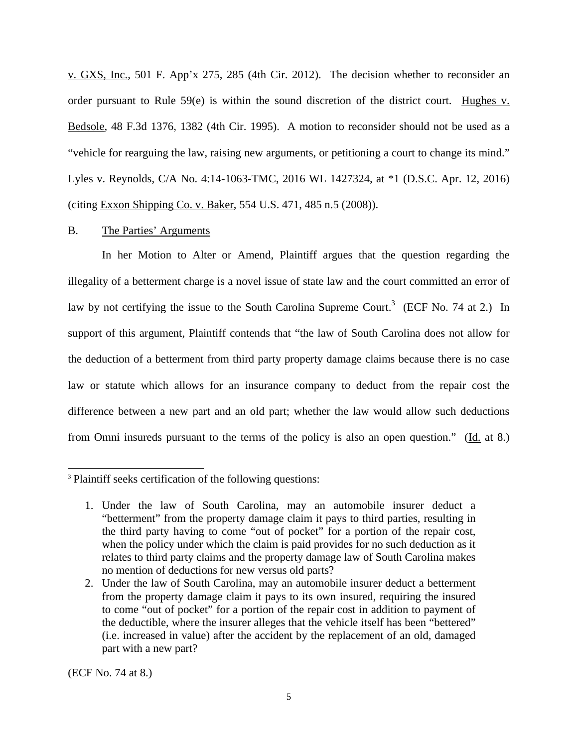v. GXS, Inc., 501 F. App'x 275, 285 (4th Cir. 2012). The decision whether to reconsider an order pursuant to Rule 59(e) is within the sound discretion of the district court. Hughes v. Bedsole, 48 F.3d 1376, 1382 (4th Cir. 1995). A motion to reconsider should not be used as a "vehicle for rearguing the law, raising new arguments, or petitioning a court to change its mind." Lyles v. Reynolds, C/A No. 4:14-1063-TMC, 2016 WL 1427324, at \*1 (D.S.C. Apr. 12, 2016) (citing Exxon Shipping Co. v. Baker, 554 U.S. 471, 485 n.5 (2008)).

## B. The Parties' Arguments

In her Motion to Alter or Amend, Plaintiff argues that the question regarding the illegality of a betterment charge is a novel issue of state law and the court committed an error of law by not certifying the issue to the South Carolina Supreme Court.<sup>3</sup> (ECF No. 74 at 2.) In support of this argument, Plaintiff contends that "the law of South Carolina does not allow for the deduction of a betterment from third party property damage claims because there is no case law or statute which allows for an insurance company to deduct from the repair cost the difference between a new part and an old part; whether the law would allow such deductions from Omni insureds pursuant to the terms of the policy is also an open question." (Id. at 8.)

(ECF No. 74 at 8.)

 $\overline{a}$ 

<sup>3</sup> Plaintiff seeks certification of the following questions:

<sup>1.</sup> Under the law of South Carolina, may an automobile insurer deduct a "betterment" from the property damage claim it pays to third parties, resulting in the third party having to come "out of pocket" for a portion of the repair cost, when the policy under which the claim is paid provides for no such deduction as it relates to third party claims and the property damage law of South Carolina makes no mention of deductions for new versus old parts?

<sup>2.</sup> Under the law of South Carolina, may an automobile insurer deduct a betterment from the property damage claim it pays to its own insured, requiring the insured to come "out of pocket" for a portion of the repair cost in addition to payment of the deductible, where the insurer alleges that the vehicle itself has been "bettered" (i.e. increased in value) after the accident by the replacement of an old, damaged part with a new part?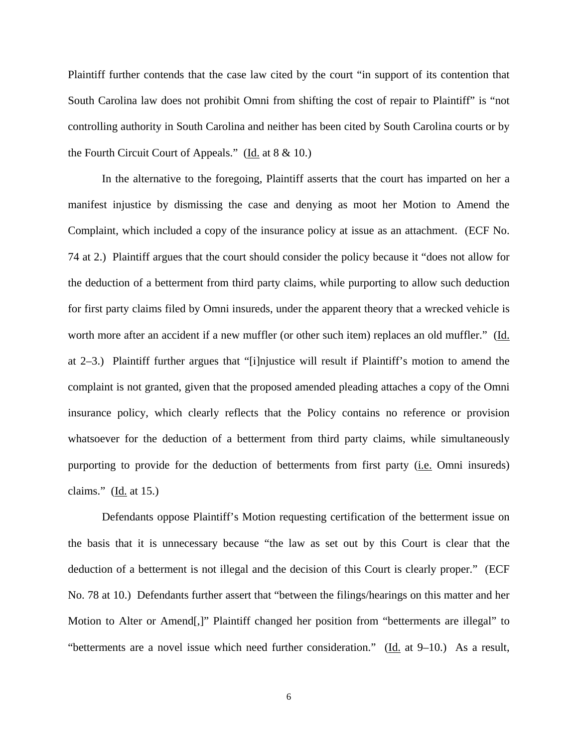Plaintiff further contends that the case law cited by the court "in support of its contention that South Carolina law does not prohibit Omni from shifting the cost of repair to Plaintiff" is "not controlling authority in South Carolina and neither has been cited by South Carolina courts or by the Fourth Circuit Court of Appeals." (Id. at 8 & 10.)

In the alternative to the foregoing, Plaintiff asserts that the court has imparted on her a manifest injustice by dismissing the case and denying as moot her Motion to Amend the Complaint, which included a copy of the insurance policy at issue as an attachment. (ECF No. 74 at 2.) Plaintiff argues that the court should consider the policy because it "does not allow for the deduction of a betterment from third party claims, while purporting to allow such deduction for first party claims filed by Omni insureds, under the apparent theory that a wrecked vehicle is worth more after an accident if a new muffler (or other such item) replaces an old muffler." (Id. at 2–3.) Plaintiff further argues that "[i]njustice will result if Plaintiff's motion to amend the complaint is not granted, given that the proposed amended pleading attaches a copy of the Omni insurance policy, which clearly reflects that the Policy contains no reference or provision whatsoever for the deduction of a betterment from third party claims, while simultaneously purporting to provide for the deduction of betterments from first party (i.e. Omni insureds) claims."  $(\underline{Id}$  at 15.)

Defendants oppose Plaintiff's Motion requesting certification of the betterment issue on the basis that it is unnecessary because "the law as set out by this Court is clear that the deduction of a betterment is not illegal and the decision of this Court is clearly proper." (ECF No. 78 at 10.) Defendants further assert that "between the filings/hearings on this matter and her Motion to Alter or Amend[,]" Plaintiff changed her position from "betterments are illegal" to "betterments are a novel issue which need further consideration." ( $\underline{Id}$  at 9–10.) As a result,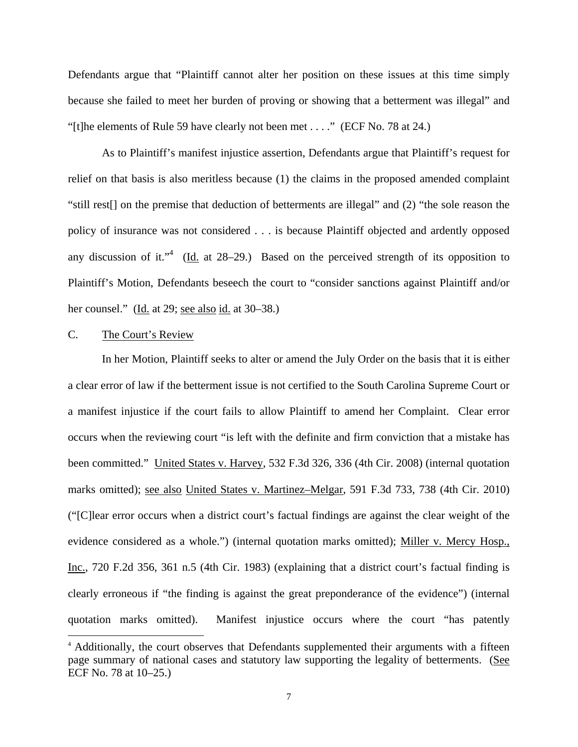Defendants argue that "Plaintiff cannot alter her position on these issues at this time simply because she failed to meet her burden of proving or showing that a betterment was illegal" and "[t]he elements of Rule 59 have clearly not been met . . . ." (ECF No. 78 at 24.)

As to Plaintiff's manifest injustice assertion, Defendants argue that Plaintiff's request for relief on that basis is also meritless because (1) the claims in the proposed amended complaint "still rest[] on the premise that deduction of betterments are illegal" and (2) "the sole reason the policy of insurance was not considered . . . is because Plaintiff objected and ardently opposed any discussion of it."<sup>4</sup> (Id. at 28–29.) Based on the perceived strength of its opposition to Plaintiff's Motion, Defendants beseech the court to "consider sanctions against Plaintiff and/or her counsel." (Id. at 29; see also id. at 30–38.)

## C. The Court's Review

 $\overline{a}$ 

In her Motion, Plaintiff seeks to alter or amend the July Order on the basis that it is either a clear error of law if the betterment issue is not certified to the South Carolina Supreme Court or a manifest injustice if the court fails to allow Plaintiff to amend her Complaint. Clear error occurs when the reviewing court "is left with the definite and firm conviction that a mistake has been committed." United States v. Harvey, 532 F.3d 326, 336 (4th Cir. 2008) (internal quotation marks omitted); see also United States v. Martinez–Melgar, 591 F.3d 733, 738 (4th Cir. 2010) ("[C]lear error occurs when a district court's factual findings are against the clear weight of the evidence considered as a whole.") (internal quotation marks omitted); Miller v. Mercy Hosp., Inc., 720 F.2d 356, 361 n.5 (4th Cir. 1983) (explaining that a district court's factual finding is clearly erroneous if "the finding is against the great preponderance of the evidence") (internal quotation marks omitted). Manifest injustice occurs where the court "has patently

<sup>&</sup>lt;sup>4</sup> Additionally, the court observes that Defendants supplemented their arguments with a fifteen page summary of national cases and statutory law supporting the legality of betterments. (See ECF No. 78 at 10–25.)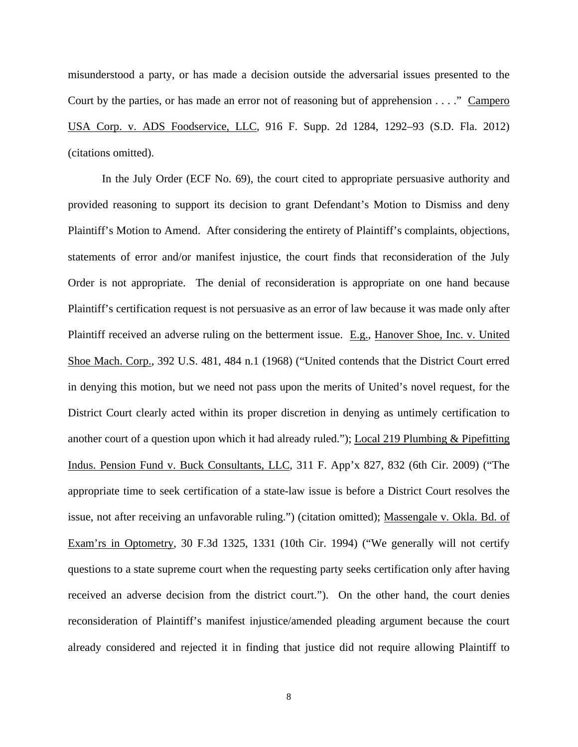misunderstood a party, or has made a decision outside the adversarial issues presented to the Court by the parties, or has made an error not of reasoning but of apprehension . . . ." Campero USA Corp. v. ADS Foodservice, LLC, 916 F. Supp. 2d 1284, 1292–93 (S.D. Fla. 2012) (citations omitted).

 In the July Order (ECF No. 69), the court cited to appropriate persuasive authority and provided reasoning to support its decision to grant Defendant's Motion to Dismiss and deny Plaintiff's Motion to Amend. After considering the entirety of Plaintiff's complaints, objections, statements of error and/or manifest injustice, the court finds that reconsideration of the July Order is not appropriate. The denial of reconsideration is appropriate on one hand because Plaintiff's certification request is not persuasive as an error of law because it was made only after Plaintiff received an adverse ruling on the betterment issue. E.g., Hanover Shoe, Inc. v. United Shoe Mach. Corp., 392 U.S. 481, 484 n.1 (1968) ("United contends that the District Court erred in denying this motion, but we need not pass upon the merits of United's novel request, for the District Court clearly acted within its proper discretion in denying as untimely certification to another court of a question upon which it had already ruled."); Local 219 Plumbing & Pipefitting Indus. Pension Fund v. Buck Consultants, LLC, 311 F. App'x 827, 832 (6th Cir. 2009) ("The appropriate time to seek certification of a state-law issue is before a District Court resolves the issue, not after receiving an unfavorable ruling.") (citation omitted); Massengale v. Okla. Bd. of Exam'rs in Optometry, 30 F.3d 1325, 1331 (10th Cir. 1994) ("We generally will not certify questions to a state supreme court when the requesting party seeks certification only after having received an adverse decision from the district court."). On the other hand, the court denies reconsideration of Plaintiff's manifest injustice/amended pleading argument because the court already considered and rejected it in finding that justice did not require allowing Plaintiff to